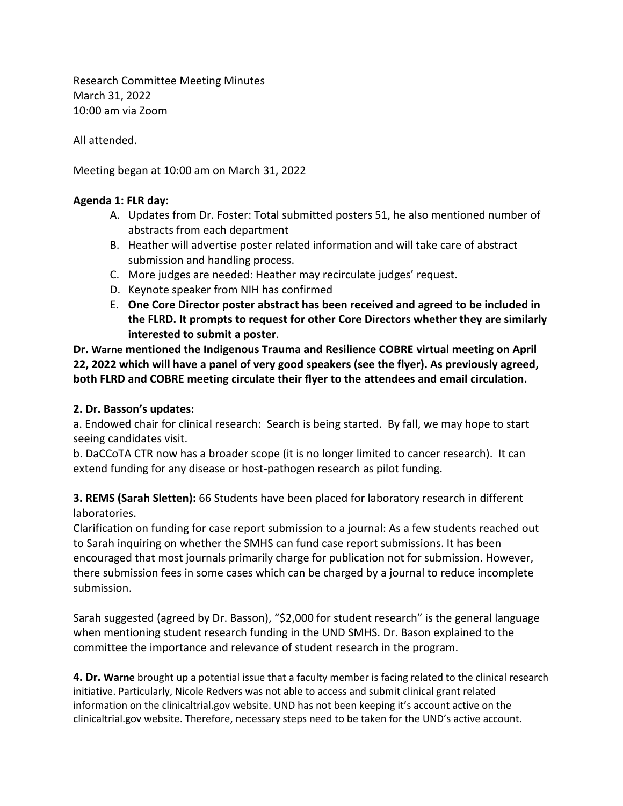Research Committee Meeting Minutes March 31, 2022 10:00 am via Zoom

All attended.

Meeting began at 10:00 am on March 31, 2022

## **Agenda 1: FLR day:**

- A. Updates from Dr. Foster: Total submitted posters 51, he also mentioned number of abstracts from each department
- B. Heather will advertise poster related information and will take care of abstract submission and handling process.
- C. More judges are needed: Heather may recirculate judges' request.
- D. Keynote speaker from NIH has confirmed
- E. **One Core Director poster abstract has been received and agreed to be included in the FLRD. It prompts to request for other Core Directors whether they are similarly interested to submit a poster**.

**Dr. Warne mentioned the Indigenous Trauma and Resilience COBRE virtual meeting on April 22, 2022 which will have a panel of very good speakers (see the flyer). As previously agreed, both FLRD and COBRE meeting circulate their flyer to the attendees and email circulation.**

## **2. Dr. Basson's updates:**

a. Endowed chair for clinical research: Search is being started. By fall, we may hope to start seeing candidates visit.

b. DaCCoTA CTR now has a broader scope (it is no longer limited to cancer research). It can extend funding for any disease or host-pathogen research as pilot funding.

**3. REMS (Sarah Sletten):** 66 Students have been placed for laboratory research in different laboratories.

Clarification on funding for case report submission to a journal: As a few students reached out to Sarah inquiring on whether the SMHS can fund case report submissions. It has been encouraged that most journals primarily charge for publication not for submission. However, there submission fees in some cases which can be charged by a journal to reduce incomplete submission.

Sarah suggested (agreed by Dr. Basson), "\$2,000 for student research" is the general language when mentioning student research funding in the UND SMHS. Dr. Bason explained to the committee the importance and relevance of student research in the program.

**4. Dr. Warne** brought up a potential issue that a faculty member is facing related to the clinical research initiative. Particularly, Nicole Redvers was not able to access and submit clinical grant related information on the clinicaltrial.gov website. UND has not been keeping it's account active on the clinicaltrial.gov website. Therefore, necessary steps need to be taken for the UND's active account.